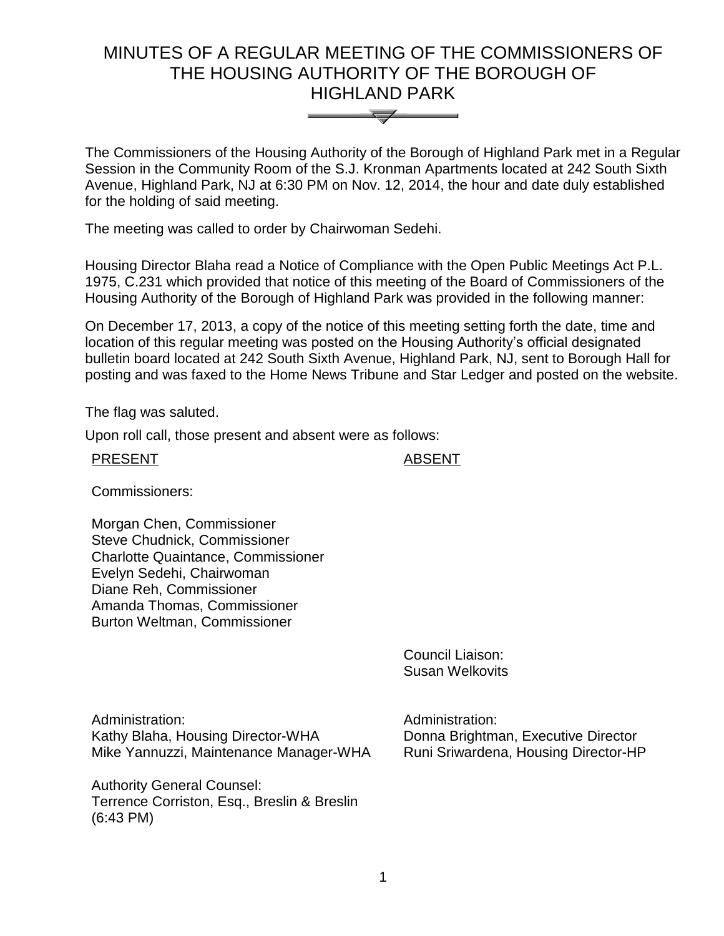# MINUTES OF A REGULAR MEETING OF THE COMMISSIONERS OF THE HOUSING AUTHORITY OF THE BOROUGH OF HIGHLAND PARK



The Commissioners of the Housing Authority of the Borough of Highland Park met in a Regular Session in the Community Room of the S.J. Kronman Apartments located at 242 South Sixth Avenue, Highland Park, NJ at 6:30 PM on Nov. 12, 2014, the hour and date duly established for the holding of said meeting.

The meeting was called to order by Chairwoman Sedehi.

Housing Director Blaha read a Notice of Compliance with the Open Public Meetings Act P.L. 1975, C.231 which provided that notice of this meeting of the Board of Commissioners of the Housing Authority of the Borough of Highland Park was provided in the following manner:

On December 17, 2013, a copy of the notice of this meeting setting forth the date, time and location of this regular meeting was posted on the Housing Authority's official designated bulletin board located at 242 South Sixth Avenue, Highland Park, NJ, sent to Borough Hall for posting and was faxed to the Home News Tribune and Star Ledger and posted on the website.

The flag was saluted.

Upon roll call, those present and absent were as follows:

PRESENT ABSENT

Commissioners:

Morgan Chen, Commissioner Steve Chudnick, Commissioner Charlotte Quaintance, Commissioner Evelyn Sedehi, Chairwoman Diane Reh, Commissioner Amanda Thomas, Commissioner Burton Weltman, Commissioner

> Council Liaison: Susan Welkovits

Administration: Kathy Blaha, Housing Director-WHA Mike Yannuzzi, Maintenance Manager-WHA

Authority General Counsel: Terrence Corriston, Esq., Breslin & Breslin (6:43 PM)

Administration: Donna Brightman, Executive Director Runi Sriwardena, Housing Director-HP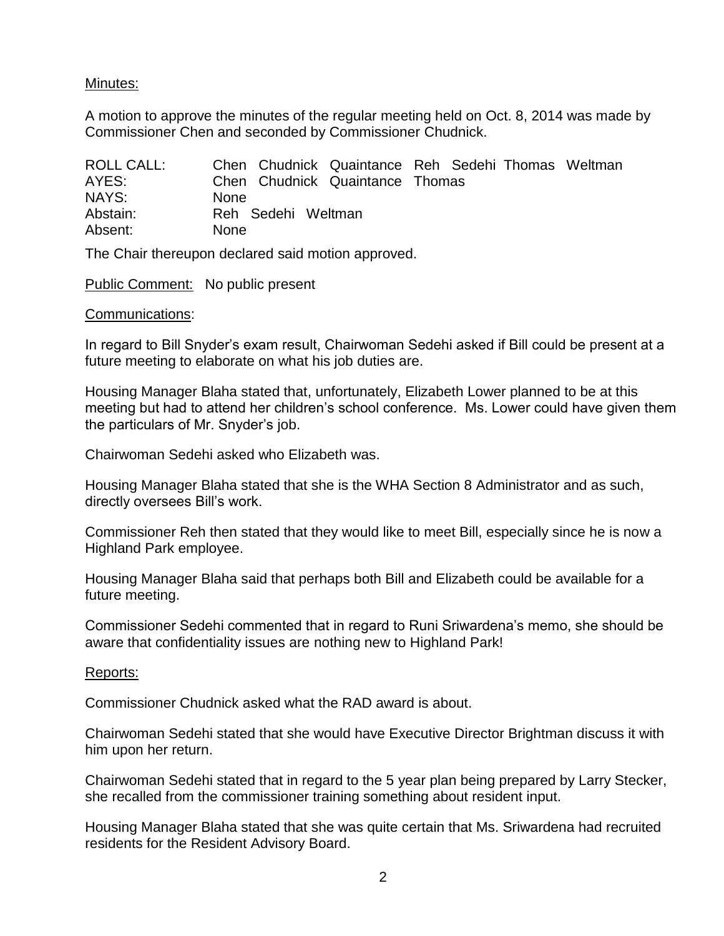## Minutes:

A motion to approve the minutes of the regular meeting held on Oct. 8, 2014 was made by Commissioner Chen and seconded by Commissioner Chudnick.

| ROLL CALL: | Chen Chudnick Quaintance Reh Sedehi Thomas Weltman |
|------------|----------------------------------------------------|
| AYES:      | Chen Chudnick Quaintance Thomas                    |
| NAYS:      | <b>None</b>                                        |
| Abstain:   | Reh Sedehi Weltman                                 |
| Absent:    | <b>None</b>                                        |

The Chair thereupon declared said motion approved.

Public Comment: No public present

#### Communications:

In regard to Bill Snyder's exam result, Chairwoman Sedehi asked if Bill could be present at a future meeting to elaborate on what his job duties are.

Housing Manager Blaha stated that, unfortunately, Elizabeth Lower planned to be at this meeting but had to attend her children's school conference. Ms. Lower could have given them the particulars of Mr. Snyder's job.

Chairwoman Sedehi asked who Elizabeth was.

Housing Manager Blaha stated that she is the WHA Section 8 Administrator and as such, directly oversees Bill's work.

Commissioner Reh then stated that they would like to meet Bill, especially since he is now a Highland Park employee.

Housing Manager Blaha said that perhaps both Bill and Elizabeth could be available for a future meeting.

Commissioner Sedehi commented that in regard to Runi Sriwardena's memo, she should be aware that confidentiality issues are nothing new to Highland Park!

#### Reports:

Commissioner Chudnick asked what the RAD award is about.

Chairwoman Sedehi stated that she would have Executive Director Brightman discuss it with him upon her return.

Chairwoman Sedehi stated that in regard to the 5 year plan being prepared by Larry Stecker, she recalled from the commissioner training something about resident input.

Housing Manager Blaha stated that she was quite certain that Ms. Sriwardena had recruited residents for the Resident Advisory Board.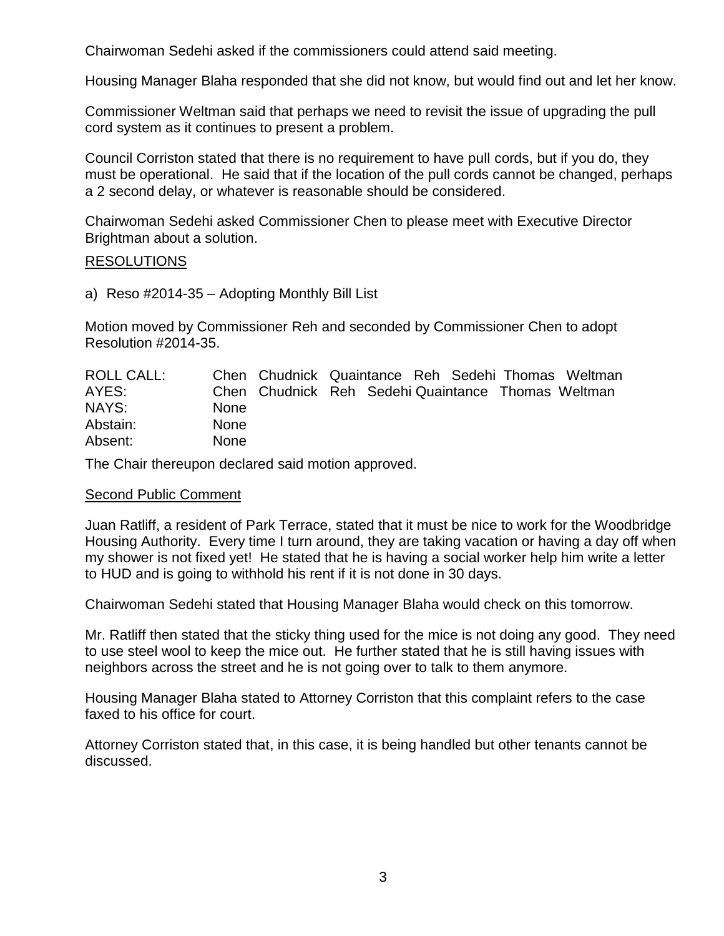Chairwoman Sedehi asked if the commissioners could attend said meeting.

Housing Manager Blaha responded that she did not know, but would find out and let her know.

Commissioner Weltman said that perhaps we need to revisit the issue of upgrading the pull cord system as it continues to present a problem.

Council Corriston stated that there is no requirement to have pull cords, but if you do, they must be operational. He said that if the location of the pull cords cannot be changed, perhaps a 2 second delay, or whatever is reasonable should be considered.

Chairwoman Sedehi asked Commissioner Chen to please meet with Executive Director Brightman about a solution.

### **RESOLUTIONS**

a) Reso #2014-35 – Adopting Monthly Bill List

Motion moved by Commissioner Reh and seconded by Commissioner Chen to adopt Resolution #2014-35.

| ROLL CALL: |             | Chen Chudnick Quaintance Reh Sedehi Thomas Weltman |  |  |  |
|------------|-------------|----------------------------------------------------|--|--|--|
| AYES:      |             | Chen Chudnick Reh Sedehi Quaintance Thomas Weltman |  |  |  |
| NAYS:      | <b>None</b> |                                                    |  |  |  |
| Abstain:   | <b>None</b> |                                                    |  |  |  |
| Absent:    | <b>None</b> |                                                    |  |  |  |

The Chair thereupon declared said motion approved.

#### Second Public Comment

Juan Ratliff, a resident of Park Terrace, stated that it must be nice to work for the Woodbridge Housing Authority. Every time I turn around, they are taking vacation or having a day off when my shower is not fixed yet! He stated that he is having a social worker help him write a letter to HUD and is going to withhold his rent if it is not done in 30 days.

Chairwoman Sedehi stated that Housing Manager Blaha would check on this tomorrow.

Mr. Ratliff then stated that the sticky thing used for the mice is not doing any good. They need to use steel wool to keep the mice out. He further stated that he is still having issues with neighbors across the street and he is not going over to talk to them anymore.

Housing Manager Blaha stated to Attorney Corriston that this complaint refers to the case faxed to his office for court.

Attorney Corriston stated that, in this case, it is being handled but other tenants cannot be discussed.